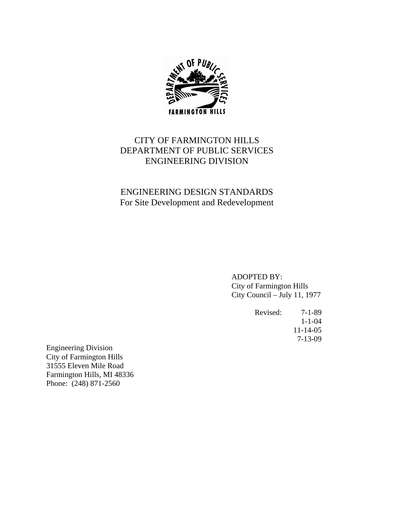

# CITY OF FARMINGTON HILLS DEPARTMENT OF PUBLIC SERVICES ENGINEERING DIVISION

# ENGINEERING DESIGN STANDARDS For Site Development and Redevelopment

ADOPTED BY: City of Farmington Hills City Council – July 11, 1977

 Revised: 7-1-89 1-1-04 11-14-05 7-13-09

Engineering Division City of Farmington Hills 31555 Eleven Mile Road Farmington Hills, MI 48336 Phone: (248) 871-2560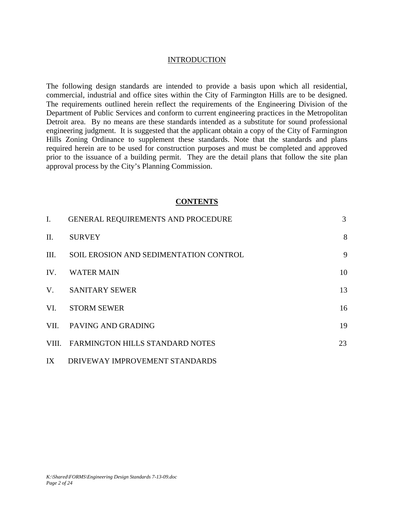#### INTRODUCTION

The following design standards are intended to provide a basis upon which all residential, commercial, industrial and office sites within the City of Farmington Hills are to be designed. The requirements outlined herein reflect the requirements of the Engineering Division of the Department of Public Services and conform to current engineering practices in the Metropolitan Detroit area. By no means are these standards intended as a substitute for sound professional engineering judgment. It is suggested that the applicant obtain a copy of the City of Farmington Hills Zoning Ordinance to supplement these standards. Note that the standards and plans required herein are to be used for construction purposes and must be completed and approved prior to the issuance of a building permit. They are the detail plans that follow the site plan approval process by the City's Planning Commission.

#### **CONTENTS**

| $\mathbf{I}$ . | GENERAL REQUIREMENTS AND PROCEDURE     | 3  |
|----------------|----------------------------------------|----|
| II.            | <b>SURVEY</b>                          | 8  |
| Ш.             | SOIL EROSION AND SEDIMENTATION CONTROL | 9  |
| IV.            | <b>WATER MAIN</b>                      | 10 |
| $V_{\cdot}$    | <b>SANITARY SEWER</b>                  | 13 |
| VI.            | <b>STORM SEWER</b>                     | 16 |
|                | VII. PAVING AND GRADING                | 19 |
|                | VIII. FARMINGTON HILLS STANDARD NOTES  | 23 |
| IX             | DRIVEWAY IMPROVEMENT STANDARDS         |    |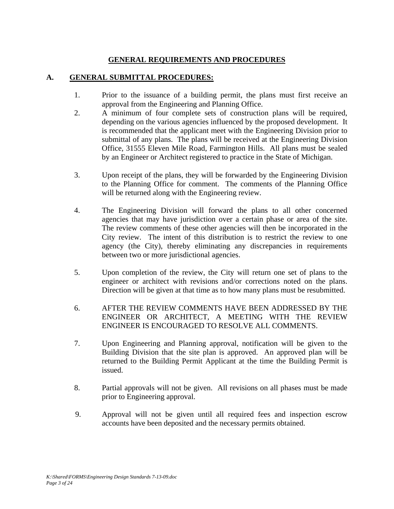## **GENERAL REQUIREMENTS AND PROCEDURES**

### **A. GENERAL SUBMITTAL PROCEDURES:**

- 1. Prior to the issuance of a building permit, the plans must first receive an approval from the Engineering and Planning Office.
- 2. A minimum of four complete sets of construction plans will be required, depending on the various agencies influenced by the proposed development. It is recommended that the applicant meet with the Engineering Division prior to submittal of any plans. The plans will be received at the Engineering Division Office, 31555 Eleven Mile Road, Farmington Hills. All plans must be sealed by an Engineer or Architect registered to practice in the State of Michigan.
- 3. Upon receipt of the plans, they will be forwarded by the Engineering Division to the Planning Office for comment. The comments of the Planning Office will be returned along with the Engineering review.
- 4. The Engineering Division will forward the plans to all other concerned agencies that may have jurisdiction over a certain phase or area of the site. The review comments of these other agencies will then be incorporated in the City review. The intent of this distribution is to restrict the review to one agency (the City), thereby eliminating any discrepancies in requirements between two or more jurisdictional agencies.
- 5. Upon completion of the review, the City will return one set of plans to the engineer or architect with revisions and/or corrections noted on the plans. Direction will be given at that time as to how many plans must be resubmitted.
- 6. AFTER THE REVIEW COMMENTS HAVE BEEN ADDRESSED BY THE ENGINEER OR ARCHITECT, A MEETING WITH THE REVIEW ENGINEER IS ENCOURAGED TO RESOLVE ALL COMMENTS.
- 7. Upon Engineering and Planning approval, notification will be given to the Building Division that the site plan is approved. An approved plan will be returned to the Building Permit Applicant at the time the Building Permit is issued.
- 8. Partial approvals will not be given. All revisions on all phases must be made prior to Engineering approval.
- 9. Approval will not be given until all required fees and inspection escrow accounts have been deposited and the necessary permits obtained.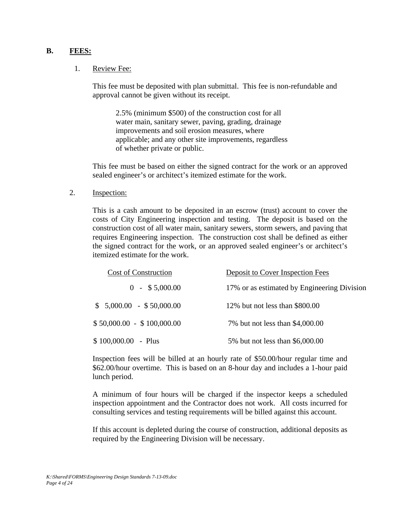#### **B. FEES:**

#### 1. Review Fee:

 This fee must be deposited with plan submittal. This fee is non-refundable and approval cannot be given without its receipt.

 2.5% (minimum \$500) of the construction cost for all water main, sanitary sewer, paving, grading, drainage improvements and soil erosion measures, where applicable; and any other site improvements, regardless of whether private or public.

This fee must be based on either the signed contract for the work or an approved sealed engineer's or architect's itemized estimate for the work.

2. Inspection:

This is a cash amount to be deposited in an escrow (trust) account to cover the costs of City Engineering inspection and testing. The deposit is based on the construction cost of all water main, sanitary sewers, storm sewers, and paving that requires Engineering inspection. The construction cost shall be defined as either the signed contract for the work, or an approved sealed engineer's or architect's itemized estimate for the work.

| <b>Cost of Construction</b> | Deposit to Cover Inspection Fees            |  |  |
|-----------------------------|---------------------------------------------|--|--|
| $0 - $5,000.00$             | 17% or as estimated by Engineering Division |  |  |
| $$5,000.00 - $50,000.00$    | 12% but not less than \$800.00              |  |  |
| $$50,000.00 - $100,000.00$  | 7% but not less than \$4,000.00             |  |  |
| $$100,000.00$ - Plus        | 5% but not less than \$6,000.00             |  |  |

Inspection fees will be billed at an hourly rate of \$50.00/hour regular time and \$62.00/hour overtime. This is based on an 8-hour day and includes a 1-hour paid lunch period.

A minimum of four hours will be charged if the inspector keeps a scheduled inspection appointment and the Contractor does not work. All costs incurred for consulting services and testing requirements will be billed against this account.

If this account is depleted during the course of construction, additional deposits as required by the Engineering Division will be necessary.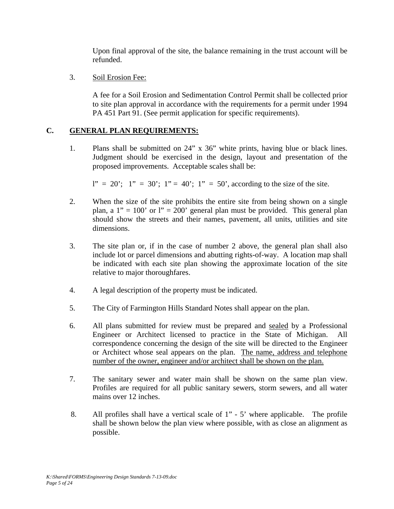Upon final approval of the site, the balance remaining in the trust account will be refunded.

3. Soil Erosion Fee:

A fee for a Soil Erosion and Sedimentation Control Permit shall be collected prior to site plan approval in accordance with the requirements for a permit under 1994 PA 451 Part 91. (See permit application for specific requirements).

## **C. GENERAL PLAN REQUIREMENTS:**

1. Plans shall be submitted on 24" x 36" white prints, having blue or black lines. Judgment should be exercised in the design, layout and presentation of the proposed improvements. Acceptable scales shall be:

 $l'' = 20$ ;  $l'' = 30$ ;  $l'' = 40$ ;  $l'' = 50$ , according to the size of the site.

- 2. When the size of the site prohibits the entire site from being shown on a single plan, a  $1'' = 100'$  or  $1'' = 200'$  general plan must be provided. This general plan should show the streets and their names, pavement, all units, utilities and site dimensions.
- 3. The site plan or, if in the case of number 2 above, the general plan shall also include lot or parcel dimensions and abutting rights-of-way. A location map shall be indicated with each site plan showing the approximate location of the site relative to major thoroughfares.
- 4. A legal description of the property must be indicated.
- 5. The City of Farmington Hills Standard Notes shall appear on the plan.
- 6. All plans submitted for review must be prepared and sealed by a Professional Engineer or Architect licensed to practice in the State of Michigan. correspondence concerning the design of the site will be directed to the Engineer or Architect whose seal appears on the plan. The name, address and telephone number of the owner, engineer and/or architect shall be shown on the plan.
- 7. The sanitary sewer and water main shall be shown on the same plan view. Profiles are required for all public sanitary sewers, storm sewers, and all water mains over 12 inches.
- 8. All profiles shall have a vertical scale of 1" 5' where applicable. The profile shall be shown below the plan view where possible, with as close an alignment as possible.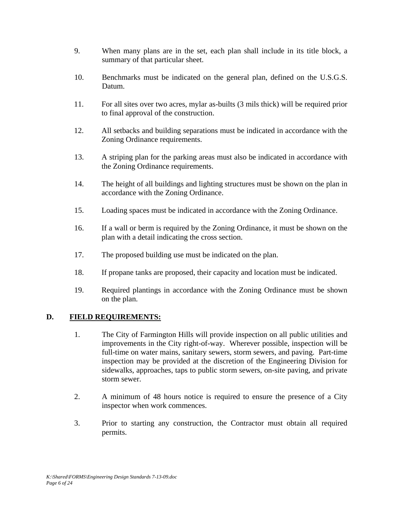- 9. When many plans are in the set, each plan shall include in its title block, a summary of that particular sheet.
- 10. Benchmarks must be indicated on the general plan, defined on the U.S.G.S. Datum.
- 11. For all sites over two acres, mylar as-builts (3 mils thick) will be required prior to final approval of the construction.
- 12. All setbacks and building separations must be indicated in accordance with the Zoning Ordinance requirements.
- 13. A striping plan for the parking areas must also be indicated in accordance with the Zoning Ordinance requirements.
- 14. The height of all buildings and lighting structures must be shown on the plan in accordance with the Zoning Ordinance.
- 15. Loading spaces must be indicated in accordance with the Zoning Ordinance.
- 16. If a wall or berm is required by the Zoning Ordinance, it must be shown on the plan with a detail indicating the cross section.
- 17. The proposed building use must be indicated on the plan.
- 18. If propane tanks are proposed, their capacity and location must be indicated.
- 19. Required plantings in accordance with the Zoning Ordinance must be shown on the plan.

## **D. FIELD REQUIREMENTS:**

- 1. The City of Farmington Hills will provide inspection on all public utilities and improvements in the City right-of-way. Wherever possible, inspection will be full-time on water mains, sanitary sewers, storm sewers, and paving. Part-time inspection may be provided at the discretion of the Engineering Division for sidewalks, approaches, taps to public storm sewers, on-site paving, and private storm sewer.
- 2. A minimum of 48 hours notice is required to ensure the presence of a City inspector when work commences.
- 3. Prior to starting any construction, the Contractor must obtain all required permits.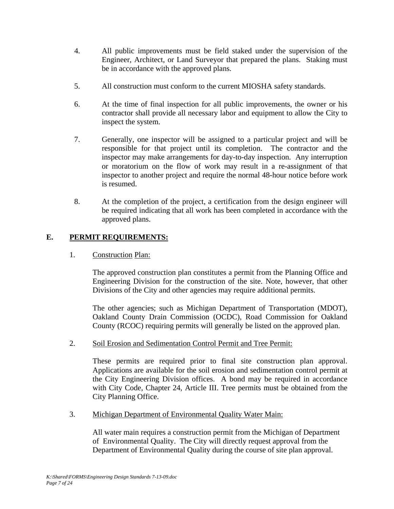- 4. All public improvements must be field staked under the supervision of the Engineer, Architect, or Land Surveyor that prepared the plans. Staking must be in accordance with the approved plans.
- 5. All construction must conform to the current MIOSHA safety standards.
- 6. At the time of final inspection for all public improvements, the owner or his contractor shall provide all necessary labor and equipment to allow the City to inspect the system.
- 7. Generally, one inspector will be assigned to a particular project and will be responsible for that project until its completion. The contractor and the inspector may make arrangements for day-to-day inspection. Any interruption or moratorium on the flow of work may result in a re-assignment of that inspector to another project and require the normal 48-hour notice before work is resumed.
- 8. At the completion of the project, a certification from the design engineer will be required indicating that all work has been completed in accordance with the approved plans.

## **E. PERMIT REQUIREMENTS:**

1. Construction Plan:

The approved construction plan constitutes a permit from the Planning Office and Engineering Division for the construction of the site. Note, however, that other Divisions of the City and other agencies may require additional permits.

The other agencies; such as Michigan Department of Transportation (MDOT), Oakland County Drain Commission (OCDC), Road Commission for Oakland County (RCOC) requiring permits will generally be listed on the approved plan.

2. Soil Erosion and Sedimentation Control Permit and Tree Permit:

These permits are required prior to final site construction plan approval. Applications are available for the soil erosion and sedimentation control permit at the City Engineering Division offices. A bond may be required in accordance with City Code, Chapter 24, Article III. Tree permits must be obtained from the City Planning Office.

3. Michigan Department of Environmental Quality Water Main:

All water main requires a construction permit from the Michigan of Department of Environmental Quality. The City will directly request approval from the Department of Environmental Quality during the course of site plan approval.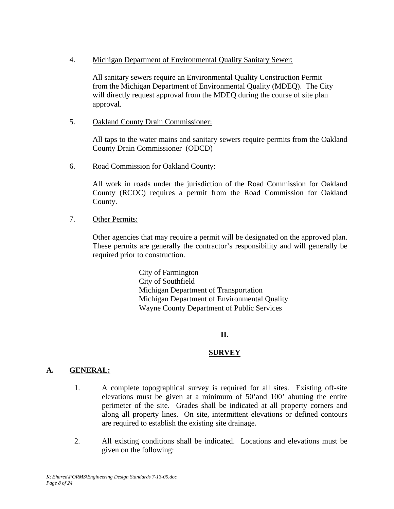4. Michigan Department of Environmental Quality Sanitary Sewer:

 All sanitary sewers require an Environmental Quality Construction Permit from the Michigan Department of Environmental Quality (MDEQ). The City will directly request approval from the MDEQ during the course of site plan approval.

5. Oakland County Drain Commissioner:

All taps to the water mains and sanitary sewers require permits from the Oakland County Drain Commissioner (ODCD)

6. Road Commission for Oakland County:

All work in roads under the jurisdiction of the Road Commission for Oakland County (RCOC) requires a permit from the Road Commission for Oakland County.

7. Other Permits:

Other agencies that may require a permit will be designated on the approved plan. These permits are generally the contractor's responsibility and will generally be required prior to construction.

> City of Farmington City of Southfield Michigan Department of Transportation Michigan Department of Environmental Quality Wayne County Department of Public Services

### **II.**

### **SURVEY**

### **A. GENERAL:**

- 1. A complete topographical survey is required for all sites. Existing off-site elevations must be given at a minimum of 50'and 100' abutting the entire perimeter of the site. Grades shall be indicated at all property corners and along all property lines. On site, intermittent elevations or defined contours are required to establish the existing site drainage.
- 2. All existing conditions shall be indicated. Locations and elevations must be given on the following: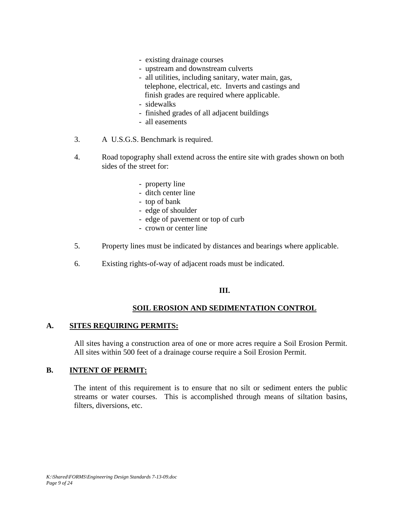- existing drainage courses
- upstream and downstream culverts
- all utilities, including sanitary, water main, gas, telephone, electrical, etc. Inverts and castings and finish grades are required where applicable.
- sidewalks
- finished grades of all adjacent buildings
- all easements
- 3. A U.S.G.S. Benchmark is required.
- 4. Road topography shall extend across the entire site with grades shown on both sides of the street for:
	- property line
	- ditch center line
	- top of bank
	- edge of shoulder
	- edge of pavement or top of curb
	- crown or center line
- 5. Property lines must be indicated by distances and bearings where applicable.
- 6. Existing rights-of-way of adjacent roads must be indicated.

#### **III.**

#### **SOIL EROSION AND SEDIMENTATION CONTROL**

#### **A. SITES REQUIRING PERMITS:**

All sites having a construction area of one or more acres require a Soil Erosion Permit. All sites within 500 feet of a drainage course require a Soil Erosion Permit.

#### **B. INTENT OF PERMIT:**

The intent of this requirement is to ensure that no silt or sediment enters the public streams or water courses. This is accomplished through means of siltation basins, filters, diversions, etc.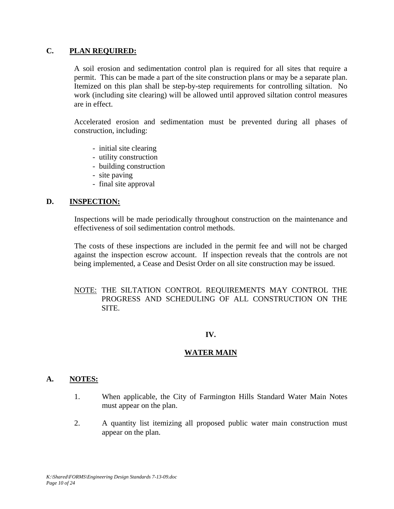### **C. PLAN REQUIRED:**

A soil erosion and sedimentation control plan is required for all sites that require a permit. This can be made a part of the site construction plans or may be a separate plan. Itemized on this plan shall be step-by-step requirements for controlling siltation. No work (including site clearing) will be allowed until approved siltation control measures are in effect.

Accelerated erosion and sedimentation must be prevented during all phases of construction, including:

- initial site clearing
- utility construction
- building construction
- site paving
- final site approval

### **D. INSPECTION:**

Inspections will be made periodically throughout construction on the maintenance and effectiveness of soil sedimentation control methods.

The costs of these inspections are included in the permit fee and will not be charged against the inspection escrow account. If inspection reveals that the controls are not being implemented, a Cease and Desist Order on all site construction may be issued.

### NOTE: THE SILTATION CONTROL REQUIREMENTS MAY CONTROL THE PROGRESS AND SCHEDULING OF ALL CONSTRUCTION ON THE SITE.

### **IV.**

### **WATER MAIN**

#### **A. NOTES:**

- 1. When applicable, the City of Farmington Hills Standard Water Main Notes must appear on the plan.
- 2. A quantity list itemizing all proposed public water main construction must appear on the plan.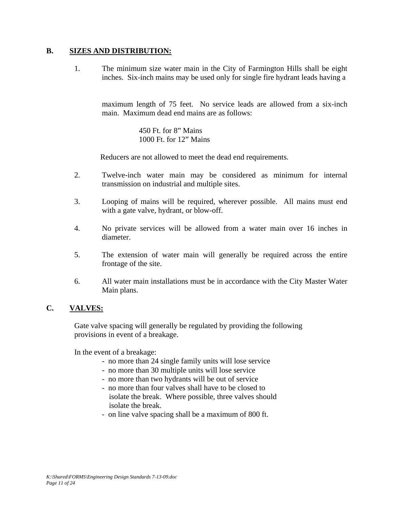#### **B. SIZES AND DISTRIBUTION:**

1. The minimum size water main in the City of Farmington Hills shall be eight inches. Six-inch mains may be used only for single fire hydrant leads having a

maximum length of 75 feet. No service leads are allowed from a six-inch main. Maximum dead end mains are as follows:

> 450 Ft. for 8" Mains 1000 Ft. for 12" Mains

Reducers are not allowed to meet the dead end requirements.

- 2. Twelve-inch water main may be considered as minimum for internal transmission on industrial and multiple sites.
- 3. Looping of mains will be required, wherever possible. All mains must end with a gate valve, hydrant, or blow-off.
- 4. No private services will be allowed from a water main over 16 inches in diameter.
- 5. The extension of water main will generally be required across the entire frontage of the site.
- 6. All water main installations must be in accordance with the City Master Water Main plans.

### **C. VALVES:**

Gate valve spacing will generally be regulated by providing the following provisions in event of a breakage.

In the event of a breakage:

- no more than 24 single family units will lose service
- no more than 30 multiple units will lose service
- no more than two hydrants will be out of service
- no more than four valves shall have to be closed to isolate the break. Where possible, three valves should isolate the break.
- on line valve spacing shall be a maximum of 800 ft.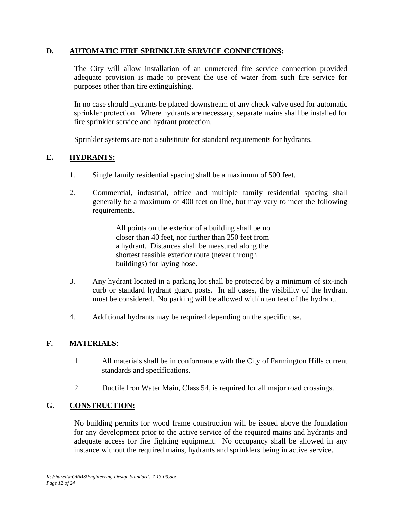### **D. AUTOMATIC FIRE SPRINKLER SERVICE CONNECTIONS:**

The City will allow installation of an unmetered fire service connection provided adequate provision is made to prevent the use of water from such fire service for purposes other than fire extinguishing.

In no case should hydrants be placed downstream of any check valve used for automatic sprinkler protection. Where hydrants are necessary, separate mains shall be installed for fire sprinkler service and hydrant protection.

Sprinkler systems are not a substitute for standard requirements for hydrants.

### **E. HYDRANTS:**

- 1. Single family residential spacing shall be a maximum of 500 feet.
- 2. Commercial, industrial, office and multiple family residential spacing shall generally be a maximum of 400 feet on line, but may vary to meet the following requirements.

 All points on the exterior of a building shall be no closer than 40 feet, nor further than 250 feet from a hydrant. Distances shall be measured along the shortest feasible exterior route (never through buildings) for laying hose.

- 3. Any hydrant located in a parking lot shall be protected by a minimum of six-inch curb or standard hydrant guard posts. In all cases, the visibility of the hydrant must be considered. No parking will be allowed within ten feet of the hydrant.
- 4. Additional hydrants may be required depending on the specific use.

### **F. MATERIALS**:

- 1. All materials shall be in conformance with the City of Farmington Hills current standards and specifications.
- 2. Ductile Iron Water Main, Class 54, is required for all major road crossings.

### **G. CONSTRUCTION:**

No building permits for wood frame construction will be issued above the foundation for any development prior to the active service of the required mains and hydrants and adequate access for fire fighting equipment. No occupancy shall be allowed in any instance without the required mains, hydrants and sprinklers being in active service.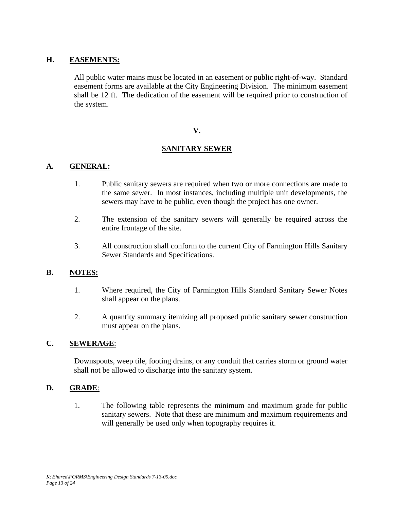### **H. EASEMENTS:**

All public water mains must be located in an easement or public right-of-way. Standard easement forms are available at the City Engineering Division. The minimum easement shall be 12 ft. The dedication of the easement will be required prior to construction of the system.

#### **V.**

### **SANITARY SEWER**

### **A. GENERAL:**

- 1. Public sanitary sewers are required when two or more connections are made to the same sewer. In most instances, including multiple unit developments, the sewers may have to be public, even though the project has one owner.
- 2. The extension of the sanitary sewers will generally be required across the entire frontage of the site.
- 3. All construction shall conform to the current City of Farmington Hills Sanitary Sewer Standards and Specifications.

#### **B. NOTES:**

- 1. Where required, the City of Farmington Hills Standard Sanitary Sewer Notes shall appear on the plans.
- 2. A quantity summary itemizing all proposed public sanitary sewer construction must appear on the plans.

#### **C. SEWERAGE**:

Downspouts, weep tile, footing drains, or any conduit that carries storm or ground water shall not be allowed to discharge into the sanitary system.

#### **D. GRADE**:

1. The following table represents the minimum and maximum grade for public sanitary sewers. Note that these are minimum and maximum requirements and will generally be used only when topography requires it.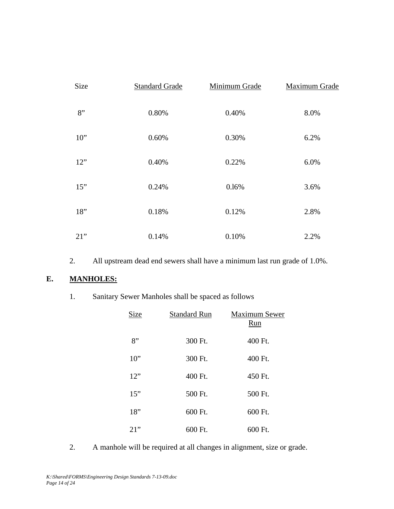| Size   | <b>Standard Grade</b> | Minimum Grade | <b>Maximum Grade</b> |
|--------|-----------------------|---------------|----------------------|
| 8"     | 0.80%                 | 0.40%         | 8.0%                 |
| $10$ " | 0.60%                 | 0.30%         | 6.2%                 |
| 12"    | 0.40%                 | 0.22%         | 6.0%                 |
| 15"    | 0.24%                 | 0.16%         | 3.6%                 |
| 18"    | 0.18%                 | 0.12%         | 2.8%                 |
| $21$ " | 0.14%                 | 0.10%         | 2.2%                 |

2. All upstream dead end sewers shall have a minimum last run grade of 1.0%.

### **E. MANHOLES:**

|  |  |  | Sanitary Sewer Manholes shall be spaced as follows |  |  |  |  |
|--|--|--|----------------------------------------------------|--|--|--|--|
|--|--|--|----------------------------------------------------|--|--|--|--|

| Size   | <b>Standard Run</b> | <b>Maximum Sewer</b><br>Run |
|--------|---------------------|-----------------------------|
| 8"     | 300 Ft.             | 400 Ft.                     |
| $10$ " | 300 Ft.             | 400 Ft.                     |
| 12"    | 400 Ft.             | 450 Ft.                     |
| 15"    | 500 Ft.             | 500 Ft.                     |
| 18"    | 600 Ft.             | 600 Ft.                     |
| 21"    | 600 Ft.             | 600 Ft.                     |

2. A manhole will be required at all changes in alignment, size or grade.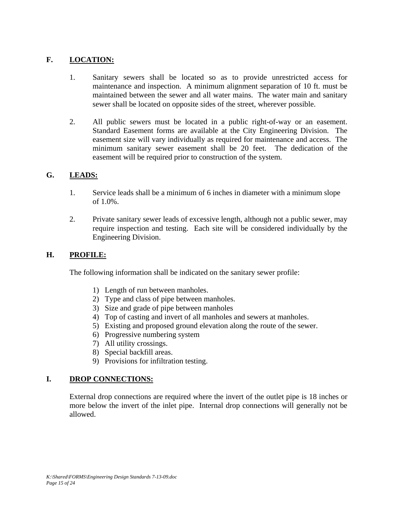### **F. LOCATION:**

- 1. Sanitary sewers shall be located so as to provide unrestricted access for maintenance and inspection. A minimum alignment separation of 10 ft. must be maintained between the sewer and all water mains. The water main and sanitary sewer shall be located on opposite sides of the street, wherever possible.
- 2. All public sewers must be located in a public right-of-way or an easement. Standard Easement forms are available at the City Engineering Division. The easement size will vary individually as required for maintenance and access. The minimum sanitary sewer easement shall be 20 feet. The dedication of the easement will be required prior to construction of the system.

### **G. LEADS:**

- 1. Service leads shall be a minimum of 6 inches in diameter with a minimum slope of 1.0%.
- 2. Private sanitary sewer leads of excessive length, although not a public sewer, may require inspection and testing. Each site will be considered individually by the Engineering Division.

### **H. PROFILE:**

The following information shall be indicated on the sanitary sewer profile:

- 1) Length of run between manholes.
- 2) Type and class of pipe between manholes.
- 3) Size and grade of pipe between manholes
- 4) Top of casting and invert of all manholes and sewers at manholes.
- 5) Existing and proposed ground elevation along the route of the sewer.
- 6) Progressive numbering system
- 7) All utility crossings.
- 8) Special backfill areas.
- 9) Provisions for infiltration testing.

### **I. DROP CONNECTIONS:**

External drop connections are required where the invert of the outlet pipe is 18 inches or more below the invert of the inlet pipe. Internal drop connections will generally not be allowed.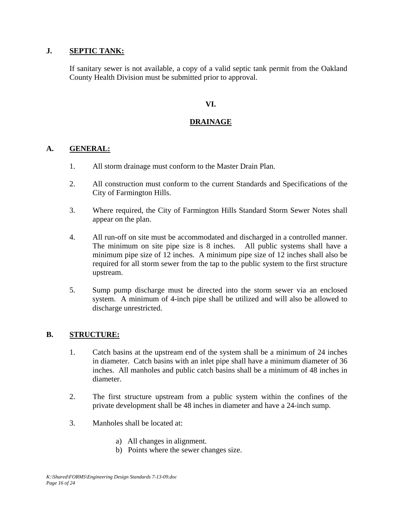### **J. SEPTIC TANK:**

If sanitary sewer is not available, a copy of a valid septic tank permit from the Oakland County Health Division must be submitted prior to approval.

### **VI.**

### **DRAINAGE**

### **A. GENERAL:**

- 1. All storm drainage must conform to the Master Drain Plan.
- 2. All construction must conform to the current Standards and Specifications of the City of Farmington Hills.
- 3. Where required, the City of Farmington Hills Standard Storm Sewer Notes shall appear on the plan.
- 4. All run-off on site must be accommodated and discharged in a controlled manner. The minimum on site pipe size is 8 inches. All public systems shall have a minimum pipe size of 12 inches. A minimum pipe size of 12 inches shall also be required for all storm sewer from the tap to the public system to the first structure upstream.
- 5. Sump pump discharge must be directed into the storm sewer via an enclosed system. A minimum of 4-inch pipe shall be utilized and will also be allowed to discharge unrestricted.

#### **B. STRUCTURE:**

- 1. Catch basins at the upstream end of the system shall be a minimum of 24 inches in diameter. Catch basins with an inlet pipe shall have a minimum diameter of 36 inches. All manholes and public catch basins shall be a minimum of 48 inches in diameter.
- 2. The first structure upstream from a public system within the confines of the private development shall be 48 inches in diameter and have a 24-inch sump.
- 3. Manholes shall be located at:
	- a) All changes in alignment.
	- b) Points where the sewer changes size.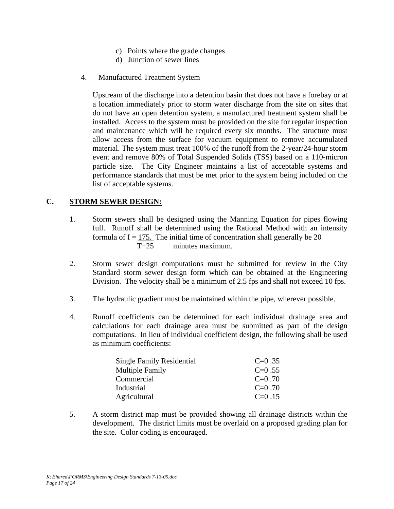- c) Points where the grade changes
- d) Junction of sewer lines
- 4. Manufactured Treatment System

Upstream of the discharge into a detention basin that does not have a forebay or at a location immediately prior to storm water discharge from the site on sites that do not have an open detention system, a manufactured treatment system shall be installed. Access to the system must be provided on the site for regular inspection and maintenance which will be required every six months. The structure must allow access from the surface for vacuum equipment to remove accumulated material. The system must treat 100% of the runoff from the 2-year/24-hour storm event and remove 80% of Total Suspended Solids (TSS) based on a 110-micron particle size. The City Engineer maintains a list of acceptable systems and performance standards that must be met prior to the system being included on the list of acceptable systems.

### **C. STORM SEWER DESIGN:**

- 1. Storm sewers shall be designed using the Manning Equation for pipes flowing full. Runoff shall be determined using the Rational Method with an intensity formula of  $I = 175$ . The initial time of concentration shall generally be 20 T+25 minutes maximum.
- 2. Storm sewer design computations must be submitted for review in the City Standard storm sewer design form which can be obtained at the Engineering Division. The velocity shall be a minimum of 2.5 fps and shall not exceed 10 fps.
- 3. The hydraulic gradient must be maintained within the pipe, wherever possible.
- 4. Runoff coefficients can be determined for each individual drainage area and calculations for each drainage area must be submitted as part of the design computations. In lieu of individual coefficient design, the following shall be used as minimum coefficients:

| Single Family Residential | $C=0.35$ |
|---------------------------|----------|
| <b>Multiple Family</b>    | $C=0.55$ |
| Commercial                | $C=0.70$ |
| Industrial                | $C=0.70$ |
| Agricultural              | $C=0.15$ |

5. A storm district map must be provided showing all drainage districts within the development. The district limits must be overlaid on a proposed grading plan for the site. Color coding is encouraged.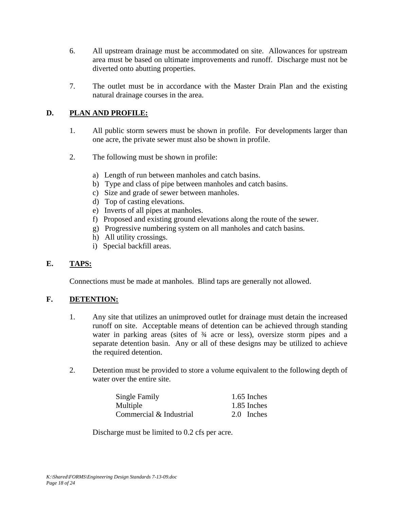- 6. All upstream drainage must be accommodated on site. Allowances for upstream area must be based on ultimate improvements and runoff. Discharge must not be diverted onto abutting properties.
- 7. The outlet must be in accordance with the Master Drain Plan and the existing natural drainage courses in the area.

## **D. PLAN AND PROFILE:**

- 1. All public storm sewers must be shown in profile. For developments larger than one acre, the private sewer must also be shown in profile.
- 2. The following must be shown in profile:
	- a) Length of run between manholes and catch basins.
	- b) Type and class of pipe between manholes and catch basins.
	- c) Size and grade of sewer between manholes.
	- d) Top of casting elevations.
	- e) Inverts of all pipes at manholes.
	- f) Proposed and existing ground elevations along the route of the sewer.
	- g) Progressive numbering system on all manholes and catch basins.
	- h) All utility crossings.
	- i) Special backfill areas.

### **E. TAPS:**

Connections must be made at manholes. Blind taps are generally not allowed.

### **F. DETENTION:**

- 1. Any site that utilizes an unimproved outlet for drainage must detain the increased runoff on site. Acceptable means of detention can be achieved through standing water in parking areas (sites of  $\frac{3}{4}$  acre or less), oversize storm pipes and a separate detention basin. Any or all of these designs may be utilized to achieve the required detention.
- 2. Detention must be provided to store a volume equivalent to the following depth of water over the entire site.

| Single Family           | 1.65 Inches |
|-------------------------|-------------|
| Multiple                | 1.85 Inches |
| Commercial & Industrial | 2.0 Inches  |

Discharge must be limited to 0.2 cfs per acre.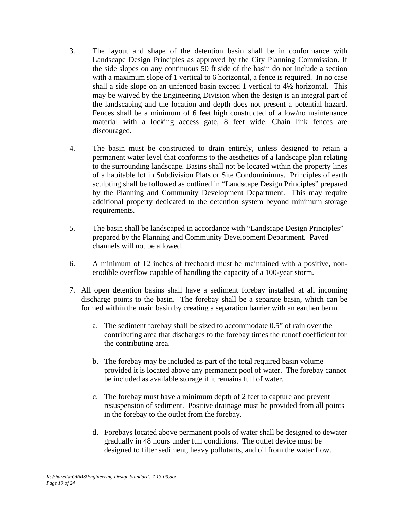- 3. The layout and shape of the detention basin shall be in conformance with Landscape Design Principles as approved by the City Planning Commission. If the side slopes on any continuous 50 ft side of the basin do not include a section with a maximum slope of 1 vertical to 6 horizontal, a fence is required. In no case shall a side slope on an unfenced basin exceed 1 vertical to 4½ horizontal. This may be waived by the Engineering Division when the design is an integral part of the landscaping and the location and depth does not present a potential hazard. Fences shall be a minimum of 6 feet high constructed of a low/no maintenance material with a locking access gate, 8 feet wide. Chain link fences are discouraged.
- 4. The basin must be constructed to drain entirely, unless designed to retain a permanent water level that conforms to the aesthetics of a landscape plan relating to the surrounding landscape. Basins shall not be located within the property lines of a habitable lot in Subdivision Plats or Site Condominiums. Principles of earth sculpting shall be followed as outlined in "Landscape Design Principles" prepared by the Planning and Community Development Department. This may require additional property dedicated to the detention system beyond minimum storage requirements.
- 5. The basin shall be landscaped in accordance with "Landscape Design Principles" prepared by the Planning and Community Development Department. Paved channels will not be allowed.
- 6. A minimum of 12 inches of freeboard must be maintained with a positive, nonerodible overflow capable of handling the capacity of a 100-year storm.
- 7. All open detention basins shall have a sediment forebay installed at all incoming discharge points to the basin. The forebay shall be a separate basin, which can be formed within the main basin by creating a separation barrier with an earthen berm.
	- a. The sediment forebay shall be sized to accommodate 0.5" of rain over the contributing area that discharges to the forebay times the runoff coefficient for the contributing area.
	- b. The forebay may be included as part of the total required basin volume provided it is located above any permanent pool of water. The forebay cannot be included as available storage if it remains full of water.
	- c. The forebay must have a minimum depth of 2 feet to capture and prevent resuspension of sediment. Positive drainage must be provided from all points in the forebay to the outlet from the forebay.
	- d. Forebays located above permanent pools of water shall be designed to dewater gradually in 48 hours under full conditions. The outlet device must be designed to filter sediment, heavy pollutants, and oil from the water flow.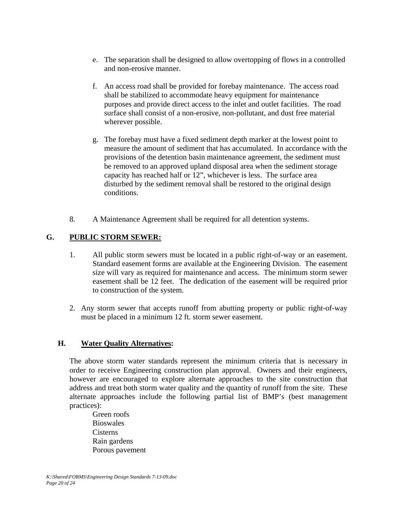- e. The separation shall be designed to allow overtopping of flows in a controlled and non-erosive manner.
- f. An access road shall be provided for forebay maintenance. The access road shall be stabilized to accommodate heavy equipment for maintenance purposes and provide direct access to the inlet and outlet facilities. The road surface shall consist of a non-erosive, non-pollutant, and dust free material wherever possible.
- g. The forebay must have a fixed sediment depth marker at the lowest point to measure the amount of sediment that has accumulated. In accordance with the provisions of the detention basin maintenance agreement, the sediment must be removed to an approved upland disposal area when the sediment storage capacity has reached half or 12", whichever is less. The surface area disturbed by the sediment removal shall be restored to the original design conditions.
- 8. A Maintenance Agreement shall be required for all detention systems.

## **G. PUBLIC STORM SEWER:**

- 1. All public storm sewers must be located in a public right-of-way or an easement. Standard easement forms are available at the Engineering Division. The easement size will vary as required for maintenance and access. The minimum storm sewer easement shall be 12 feet. The dedication of the easement will be required prior to construction of the system.
- 2. Any storm sewer that accepts runoff from abutting property or public right-of-way must be placed in a minimum 12 ft. storm sewer easement.

### **H. Water Quality Alternatives:**

The above storm water standards represent the minimum criteria that is necessary in order to receive Engineering construction plan approval. Owners and their engineers, however are encouraged to explore alternate approaches to the site construction that address and treat both storm water quality and the quantity of runoff from the site. These alternate approaches include the following partial list of BMP's (best management practices):

Green roofs Bioswales Cisterns Rain gardens Porous pavement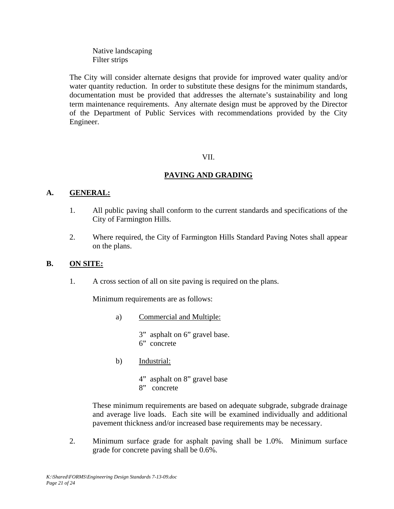Native landscaping Filter strips

The City will consider alternate designs that provide for improved water quality and/or water quantity reduction. In order to substitute these designs for the minimum standards, documentation must be provided that addresses the alternate's sustainability and long term maintenance requirements. Any alternate design must be approved by the Director of the Department of Public Services with recommendations provided by the City Engineer.

### VII.

## **PAVING AND GRADING**

### **A. GENERAL:**

- 1. All public paving shall conform to the current standards and specifications of the City of Farmington Hills.
- 2. Where required, the City of Farmington Hills Standard Paving Notes shall appear on the plans.

### **B. ON SITE:**

1. A cross section of all on site paving is required on the plans.

Minimum requirements are as follows:

a) Commercial and Multiple:

 3" asphalt on 6" gravel base. 6" concrete

b) Industrial:

 4" asphalt on 8" gravel base 8" concrete

These minimum requirements are based on adequate subgrade, subgrade drainage and average live loads. Each site will be examined individually and additional pavement thickness and/or increased base requirements may be necessary.

2. Minimum surface grade for asphalt paving shall be 1.0%. Minimum surface grade for concrete paving shall be 0.6%.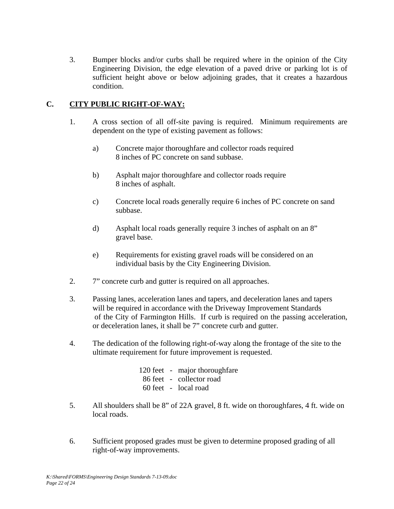3. Bumper blocks and/or curbs shall be required where in the opinion of the City Engineering Division, the edge elevation of a paved drive or parking lot is of sufficient height above or below adjoining grades, that it creates a hazardous condition.

## **C. CITY PUBLIC RIGHT-OF-WAY:**

- 1. A cross section of all off-site paving is required. Minimum requirements are dependent on the type of existing pavement as follows:
	- a) Concrete major thoroughfare and collector roads required 8 inches of PC concrete on sand subbase.
	- b) Asphalt major thoroughfare and collector roads require 8 inches of asphalt.
	- c) Concrete local roads generally require 6 inches of PC concrete on sand subbase.
	- d) Asphalt local roads generally require 3 inches of asphalt on an 8" gravel base.
	- e) Requirements for existing gravel roads will be considered on an individual basis by the City Engineering Division.
- 2. 7" concrete curb and gutter is required on all approaches.
- 3. Passing lanes, acceleration lanes and tapers, and deceleration lanes and tapers will be required in accordance with the Driveway Improvement Standards of the City of Farmington Hills. If curb is required on the passing acceleration, or deceleration lanes, it shall be 7" concrete curb and gutter.
- 4. The dedication of the following right-of-way along the frontage of the site to the ultimate requirement for future improvement is requested.

|  | 120 feet - major thorough fare |
|--|--------------------------------|
|  | 86 feet - collector road       |
|  | 60 feet - local road           |

- 5. All shoulders shall be 8" of 22A gravel, 8 ft. wide on thoroughfares, 4 ft. wide on local roads.
- 6. Sufficient proposed grades must be given to determine proposed grading of all right-of-way improvements.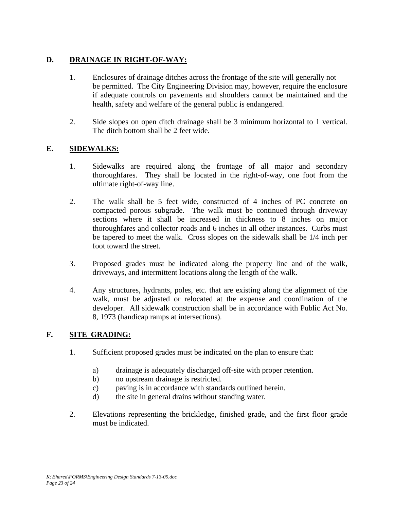## **D. DRAINAGE IN RIGHT-OF-WAY:**

- 1. Enclosures of drainage ditches across the frontage of the site will generally not be permitted. The City Engineering Division may, however, require the enclosure if adequate controls on pavements and shoulders cannot be maintained and the health, safety and welfare of the general public is endangered.
- 2. Side slopes on open ditch drainage shall be 3 minimum horizontal to 1 vertical. The ditch bottom shall be 2 feet wide.

## **E. SIDEWALKS:**

- 1. Sidewalks are required along the frontage of all major and secondary thoroughfares. They shall be located in the right-of-way, one foot from the ultimate right-of-way line.
- 2. The walk shall be 5 feet wide, constructed of 4 inches of PC concrete on compacted porous subgrade. The walk must be continued through driveway sections where it shall be increased in thickness to 8 inches on major thoroughfares and collector roads and 6 inches in all other instances. Curbs must be tapered to meet the walk. Cross slopes on the sidewalk shall be 1/4 inch per foot toward the street.
- 3. Proposed grades must be indicated along the property line and of the walk, driveways, and intermittent locations along the length of the walk.
- 4. Any structures, hydrants, poles, etc. that are existing along the alignment of the walk, must be adjusted or relocated at the expense and coordination of the developer. All sidewalk construction shall be in accordance with Public Act No. 8, 1973 (handicap ramps at intersections).

### **F. SITE GRADING:**

- 1. Sufficient proposed grades must be indicated on the plan to ensure that:
	- a) drainage is adequately discharged off-site with proper retention.
	- b) no upstream drainage is restricted.
	- c) paving is in accordance with standards outlined herein.
	- d) the site in general drains without standing water.
- 2. Elevations representing the brickledge, finished grade, and the first floor grade must be indicated.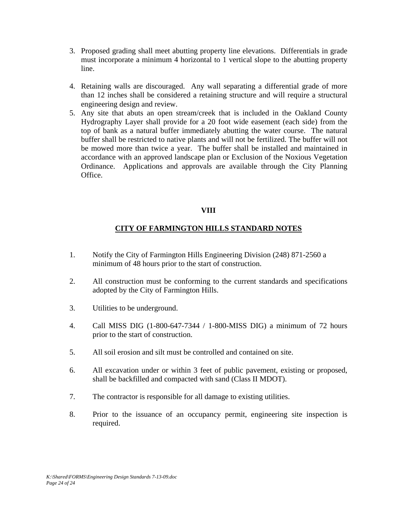- 3. Proposed grading shall meet abutting property line elevations. Differentials in grade must incorporate a minimum 4 horizontal to 1 vertical slope to the abutting property line.
- 4. Retaining walls are discouraged. Any wall separating a differential grade of more than 12 inches shall be considered a retaining structure and will require a structural engineering design and review.
- 5. Any site that abuts an open stream/creek that is included in the Oakland County Hydrography Layer shall provide for a 20 foot wide easement (each side) from the top of bank as a natural buffer immediately abutting the water course. The natural buffer shall be restricted to native plants and will not be fertilized. The buffer will not be mowed more than twice a year. The buffer shall be installed and maintained in accordance with an approved landscape plan or Exclusion of the Noxious Vegetation Ordinance. Applications and approvals are available through the City Planning Office.

### **VIII**

### **CITY OF FARMINGTON HILLS STANDARD NOTES**

- 1. Notify the City of Farmington Hills Engineering Division (248) 871-2560 a minimum of 48 hours prior to the start of construction.
- 2. All construction must be conforming to the current standards and specifications adopted by the City of Farmington Hills.
- 3. Utilities to be underground.
- 4. Call MISS DIG (1-800-647-7344 / 1-800-MISS DIG) a minimum of 72 hours prior to the start of construction.
- 5. All soil erosion and silt must be controlled and contained on site.
- 6. All excavation under or within 3 feet of public pavement, existing or proposed, shall be backfilled and compacted with sand (Class II MDOT).
- 7. The contractor is responsible for all damage to existing utilities.
- 8. Prior to the issuance of an occupancy permit, engineering site inspection is required.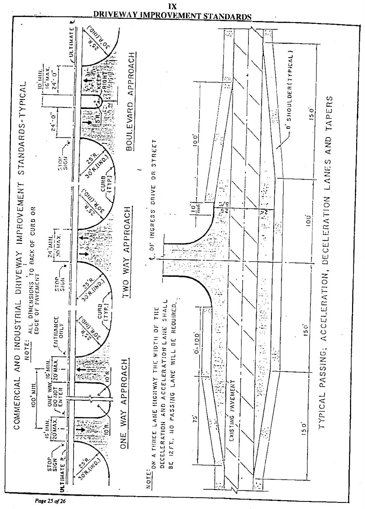